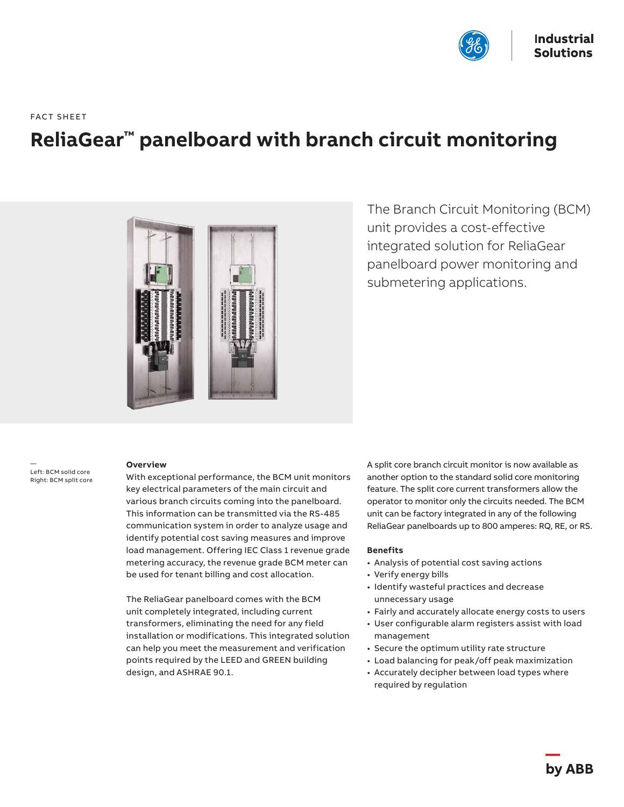

FACT SHEET

# **ReliaGear™ panelboard with branch circuit monitoring**



The Branch Circuit Monitoring (BCM) unit provides a cost-effective integrated solution for ReliaGear panelboard power monitoring and submetering applications.

— Left: BCM solid core Right: BCM split core

#### **Overview**

With exceptional performance, the BCM unit monitors key electrical parameters of the main circuit and various branch circuits coming into the panelboard. This information can be transmitted via the RS-485 communication system in order to analyze usage and identify potential cost saving measures and improve load management. Offering IEC Class 1 revenue grade metering accuracy, the revenue grade BCM meter can be used for tenant billing and cost allocation.

The ReliaGear panelboard comes with the BCM unit completely integrated, including current transformers, eliminating the need for any field installation or modifications. This integrated solution can help you meet the measurement and verification points required by the LEED and GREEN building design, and ASHRAE 90.1.

A split core branch circuit monitor is now available as another option to the standard solid core monitoring feature. The split core current transformers allow the operator to monitor only the circuits needed. The BCM unit can be factory integrated in any of the following ReliaGear panelboards up to 800 amperes: RQ, RE, or RS.

#### **Benefits**

- Analysis of potential cost saving actions
- Verify energy bills
- Identify wasteful practices and decrease unnecessary usage
- Fairly and accurately allocate energy costs to users
- User configurable alarm registers assist with load management
- Secure the optimum utility rate structure
- Load balancing for peak/off peak maximization
- Accurately decipher between load types where required by regulation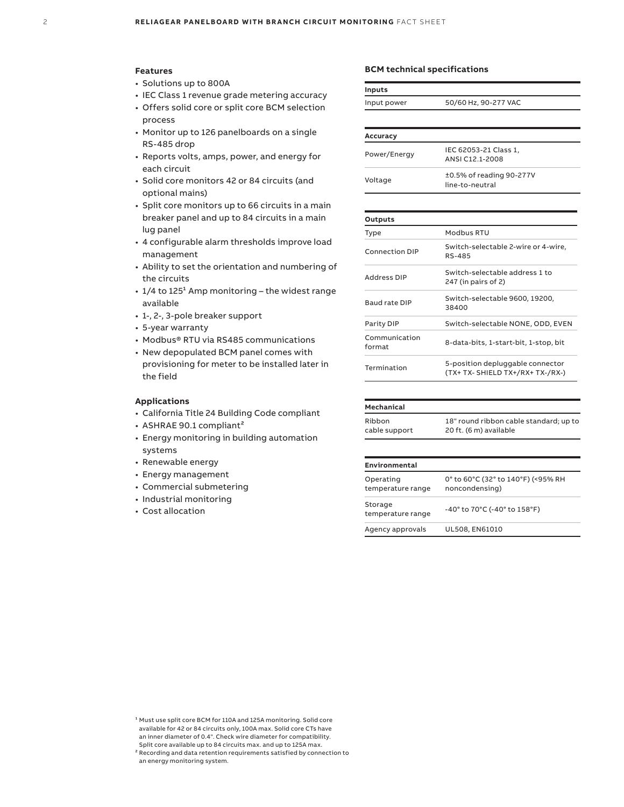#### **Features**

- Solutions up to 800A
- IEC Class 1 revenue grade metering accuracy
- Offers solid core or split core BCM selection process
- Monitor up to 126 panelboards on a single RS-485 drop
- Reports volts, amps, power, and energy for each circuit
- Solid core monitors 42 or 84 circuits (and optional mains)
- Split core monitors up to 66 circuits in a main breaker panel and up to 84 circuits in a main lug panel
- 4 configurable alarm thresholds improve load management
- Ability to set the orientation and numbering of the circuits
- $\cdot$  1/4 to 125<sup>1</sup> Amp monitoring the widest range available
- 1-, 2-, 3-pole breaker support
- 5-year warranty
- Modbus® RTU via RS485 communications
- New depopulated BCM panel comes with provisioning for meter to be installed later in the field

## **Applications**

- California Title 24 Building Code compliant
- ASHRAE 90.1 compliant²
- Energy monitoring in building automation systems
- Renewable energy
- Energy management
- Commercial submetering
- Industrial monitoring
- Cost allocation

#### **BCM technical specifications**

| <b>Inputs</b>           |                                                                      |  |
|-------------------------|----------------------------------------------------------------------|--|
| Input power             | 50/60 Hz, 90-277 VAC                                                 |  |
|                         |                                                                      |  |
| Accuracy                |                                                                      |  |
| Power/Energy            | IEC 62053-21 Class 1,<br>ANSLC12 1-2008                              |  |
| Voltage                 | ±0.5% of reading 90-277V<br>line-to-neutral                          |  |
|                         |                                                                      |  |
| Outputs                 |                                                                      |  |
| Type                    | Modbus RTU                                                           |  |
| <b>Connection DIP</b>   | Switch-selectable 2-wire or 4-wire,<br>RS-485                        |  |
| <b>Address DIP</b>      | Switch-selectable address 1 to<br>247 (in pairs of 2)                |  |
| <b>Baud rate DIP</b>    | Switch-selectable 9600, 19200,<br>38400                              |  |
| Parity DIP              | Switch-selectable NONE, ODD, EVEN                                    |  |
| Communication<br>format | 8-data-bits, 1-start-bit, 1-stop, bit                                |  |
| Termination             | 5-position depluggable connector<br>(TX+ TX- SHIELD TX+/RX+ TX-/RX-) |  |

| mechanical    |                                        |
|---------------|----------------------------------------|
| Ribbon        | 18" round ribbon cable standard; up to |
| cable support | 20 ft. (6 m) available                 |

**Mechanical**

| Environmental                  |                                                                       |
|--------------------------------|-----------------------------------------------------------------------|
| Operating<br>temperature range | 0° to 60°C (32° to 140°F) (<95% RH<br>noncondensing)                  |
| Storage<br>temperature range   | $-40^{\circ}$ to 70 $^{\circ}$ C (-40 $^{\circ}$ to 158 $^{\circ}$ F) |
| Agency approvals               | UL508, EN61010                                                        |

<sup>&</sup>lt;sup>1</sup> Must use split core BCM for 110A and 125A monitoring. Solid core available for 42 or 84 circuits only, 100A max. Solid core CTs have an inner diameter of 0.4". Check wire diameter for compatibility. Split core available up to 84 circuits max. and up to 125A max.

² Recording and data retention requirements satisfied by connection to an energy monitoring system.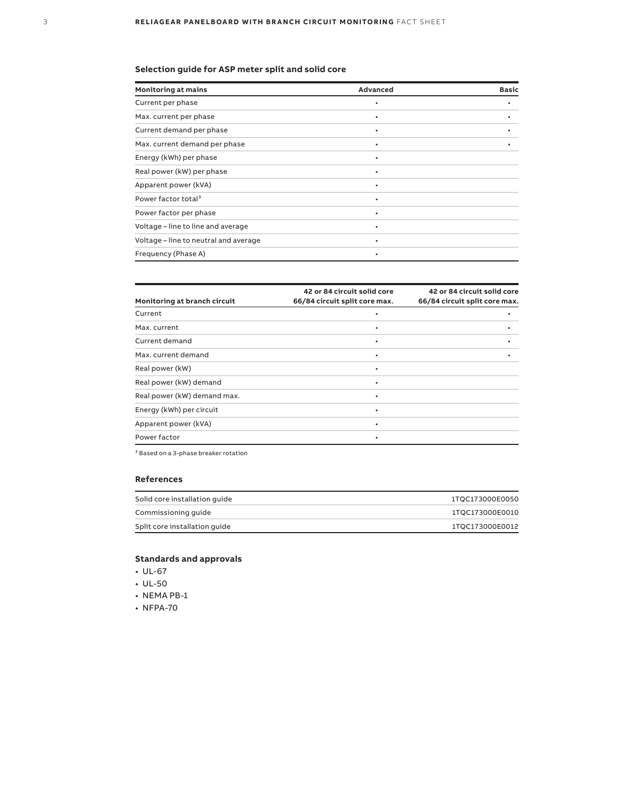## **Selection guide for ASP meter split and solid core**

| <b>Monitoring at mains</b>            | Advanced  | <b>Basic</b> |
|---------------------------------------|-----------|--------------|
| Current per phase                     |           |              |
| Max. current per phase                | $\bullet$ |              |
| Current demand per phase              | ٠         |              |
| Max. current demand per phase         | ٠         |              |
| Energy (kWh) per phase                | $\bullet$ |              |
| Real power (kW) per phase             | ٠         |              |
| Apparent power (kVA)                  |           |              |
| Power factor total <sup>3</sup>       | $\bullet$ |              |
| Power factor per phase                | $\bullet$ |              |
| Voltage - line to line and average    | ٠         |              |
| Voltage - line to neutral and average | ٠         |              |
| Frequency (Phase A)                   |           |              |

| Monitoring at branch circuit | 42 or 84 circuit solid core<br>66/84 circuit split core max. | 42 or 84 circuit solid core<br>66/84 circuit split core max. |
|------------------------------|--------------------------------------------------------------|--------------------------------------------------------------|
| Current                      |                                                              |                                                              |
| Max. current                 | ٠                                                            |                                                              |
| Current demand               | ٠                                                            |                                                              |
| Max. current demand          | ٠                                                            |                                                              |
| Real power (kW)              | ٠                                                            |                                                              |
| Real power (kW) demand       | ٠                                                            |                                                              |
| Real power (kW) demand max.  | ٠                                                            |                                                              |
| Energy (kWh) per circuit     | ٠                                                            |                                                              |
| Apparent power (kVA)         | ٠                                                            |                                                              |
| Power factor                 |                                                              |                                                              |
|                              |                                                              |                                                              |

 $^{\rm 3}$  Based on a 3-phase breaker rotation

## **References**

| Solid core installation quide | 1TQC173000E0050 |
|-------------------------------|-----------------|
| Commissioning quide           | 1TQC173000E0010 |
| Split core installation quide | 1TQC173000E0012 |

## **Standards and approvals**

- UL-67
- UL-50
- NEMA PB-1
- NFPA-70